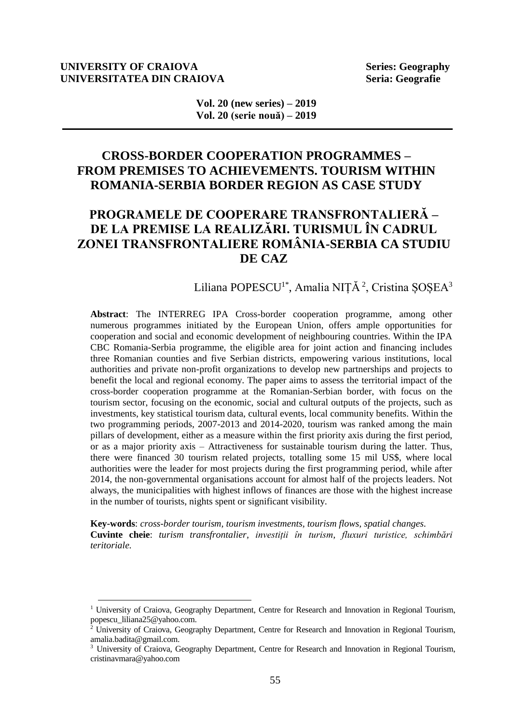#### **UNIVERSITY OF CRAIOVA** Series: Geography<br>
UNIVERSITATEA DIN CRAIOVA Seria: Geografie **UNIVERSITATEA DIN CRAIOVA**

l

**Vol. 20 (new series) – 2019 Vol. 20 (serie nouă) – 2019**

# **CROSS-BORDER COOPERATION PROGRAMMES – FROM PREMISES TO ACHIEVEMENTS. TOURISM WITHIN ROMANIA-SERBIA BORDER REGION AS CASE STUDY**

# **PROGRAMELE DE COOPERARE TRANSFRONTALIERĂ – DE LA PREMISE LA REALIZĂRI. TURISMUL ÎN CADRUL ZONEI TRANSFRONTALIERE ROMÂNIA-SERBIA CA STUDIU DE CAZ**

## Liliana POPESCU<sup>1\*</sup>, Amalia NIȚĂ<sup>2</sup>, Cristina ȘOȘEA<sup>3</sup>

**Abstract**: The INTERREG IPA Cross-border cooperation programme, among other numerous programmes initiated by the European Union, offers ample opportunities for cooperation and social and economic development of neighbouring countries. Within the IPA CBC Romania-Serbia programme, the eligible area for joint action and financing includes three Romanian counties and five Serbian districts, empowering various institutions, local authorities and private non-profit organizations to develop new partnerships and projects to benefit the local and regional economy. The paper aims to assess the territorial impact of the cross-border cooperation programme at the Romanian-Serbian border, with focus on the tourism sector, focusing on the economic, social and cultural outputs of the projects, such as investments, key statistical tourism data, cultural events, local community benefits. Within the two programming periods, 2007-2013 and 2014-2020, tourism was ranked among the main pillars of development, either as a measure within the first priority axis during the first period, or as a major priority axis – Attractiveness for sustainable tourism during the latter. Thus, there were financed 30 tourism related projects, totalling some 15 mil US\$, where local authorities were the leader for most projects during the first programming period, while after 2014, the non-governmental organisations account for almost half of the projects leaders. Not always, the municipalities with highest inflows of finances are those with the highest increase in the number of tourists, nights spent or significant visibility.

**Key-words**: *cross-border tourism, tourism investments, tourism flows, spatial changes.* **Cuvinte cheie**: *turism transfrontalier, investiții în turism, fluxuri turistice, schimbări teritoriale.*

<sup>&</sup>lt;sup>1</sup> University of Craiova, Geography Department, Centre for Research and Innovation in Regional Tourism, popescu\_liliana25@yahoo.com.

<sup>&</sup>lt;sup>2</sup> University of Craiova, Geography Department, Centre for Research and Innovation in Regional Tourism, amalia.badita@gmail.com.

<sup>&</sup>lt;sup>3</sup> University of Craiova, Geography Department, Centre for Research and Innovation in Regional Tourism, cristinavmara@yahoo.com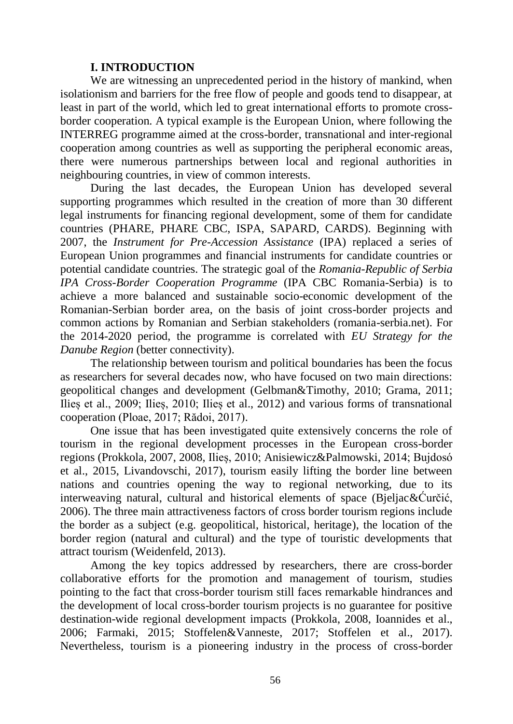### **I. INTRODUCTION**

We are witnessing an unprecedented period in the history of mankind, when isolationism and barriers for the free flow of people and goods tend to disappear, at least in part of the world, which led to great international efforts to promote crossborder cooperation. A typical example is the European Union, where following the INTERREG programme aimed at the cross-border, transnational and inter-regional cooperation among countries as well as supporting the peripheral economic areas, there were numerous partnerships between local and regional authorities in neighbouring countries, in view of common interests.

During the last decades, the European Union has developed several supporting programmes which resulted in the creation of more than 30 different legal instruments for financing regional development, some of them for candidate countries (PHARE, PHARE CBC, ISPA, SAPARD, CARDS). Beginning with 2007, the *Instrument for Pre-Accession Assistance* (IPA) replaced a series of European Union programmes and financial instruments for candidate countries or potential candidate countries. The strategic goal of the *Romania-Republic of Serbia IPA Cross-Border Cooperation Programme* (IPA CBC Romania-Serbia) is to achieve a more balanced and sustainable socio-economic development of the Romanian-Serbian border area, on the basis of joint cross-border projects and common actions by Romanian and Serbian stakeholders (romania-serbia.net). For the 2014-2020 period, the programme is correlated with *EU Strategy for the Danube Region* (better connectivity).

The relationship between tourism and political boundaries has been the focus as researchers for several decades now, who have focused on two main directions: geopolitical changes and development (Gelbman&Timothy, 2010; Grama, 2011; Ilieș et al., 2009; Ilieș, 2010; Ilieș et al., 2012) and various forms of transnational cooperation (Ploae, 2017; Rădoi, 2017).

One issue that has been investigated quite extensively concerns the role of tourism in the regional development processes in the European cross-border regions (Prokkola, 2007, 2008, Ilieș, 2010; Anisiewicz&Palmowski, 2014; Bujdosó et al., 2015, Livandovschi, 2017), tourism easily lifting the border line between nations and countries opening the way to regional networking, due to its interweaving natural, cultural and historical elements of space (Bjeljac&Ćurčić, 2006). The three main attractiveness factors of cross border tourism regions include the border as a subject (e.g. geopolitical, historical, heritage), the location of the border region (natural and cultural) and the type of touristic developments that attract tourism (Weidenfeld, 2013).

Among the key topics addressed by researchers, there are cross-border collaborative efforts for the promotion and management of tourism, studies pointing to the fact that cross-border tourism still faces remarkable hindrances and the development of local cross-border tourism projects is no guarantee for positive destination-wide regional development impacts (Prokkola, 2008, Ioannides et al., 2006; Farmaki, 2015; Stoffelen&Vanneste, 2017; Stoffelen et al., 2017). Nevertheless, tourism is a pioneering industry in the process of cross-border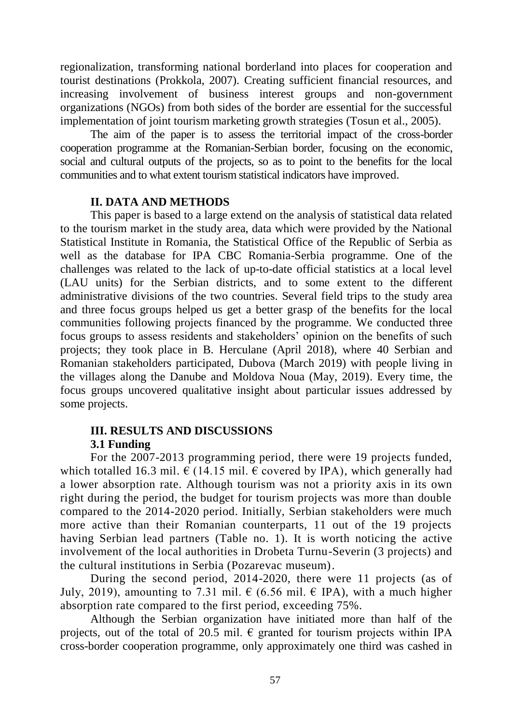regionalization, transforming national borderland into places for cooperation and tourist destinations (Prokkola, 2007). Creating sufficient financial resources, and increasing involvement of business interest groups and non-government organizations (NGOs) from both sides of the border are essential for the successful implementation of joint tourism marketing growth strategies (Tosun et al., 2005).

The aim of the paper is to assess the territorial impact of the cross-border cooperation programme at the Romanian-Serbian border, focusing on the economic, social and cultural outputs of the projects, so as to point to the benefits for the local communities and to what extent tourism statistical indicators have improved.

# **II. DATA AND METHODS**

This paper is based to a large extend on the analysis of statistical data related to the tourism market in the study area, data which were provided by the National Statistical Institute in Romania, the Statistical Office of the Republic of Serbia as well as the database for IPA CBC Romania-Serbia programme. One of the challenges was related to the lack of up-to-date official statistics at a local level (LAU units) for the Serbian districts, and to some extent to the different administrative divisions of the two countries. Several field trips to the study area and three focus groups helped us get a better grasp of the benefits for the local communities following projects financed by the programme. We conducted three focus groups to assess residents and stakeholders' opinion on the benefits of such projects; they took place in B. Herculane (April 2018), where 40 Serbian and Romanian stakeholders participated, Dubova (March 2019) with people living in the villages along the Danube and Moldova Noua (May, 2019). Every time, the focus groups uncovered qualitative insight about particular issues addressed by some projects.

## **III. RESULTS AND DISCUSSIONS 3.1 Funding**

For the 2007-2013 programming period, there were 19 projects funded, which totalled 16.3 mil.  $\epsilon$  (14.15 mil.  $\epsilon$  covered by IPA), which generally had a lower absorption rate. Although tourism was not a priority axis in its own right during the period, the budget for tourism projects was more than double compared to the 2014-2020 period. Initially, Serbian stakeholders were much more active than their Romanian counterparts, 11 out of the 19 projects having Serbian lead partners (Table no. 1). It is worth noticing the active involvement of the local authorities in Drobeta Turnu-Severin (3 projects) and the cultural institutions in Serbia (Pozarevac museum).

During the second period, 2014-2020, there were 11 projects (as of July, 2019), amounting to 7.31 mil.  $\epsilon$  (6.56 mil.  $\epsilon$  IPA), with a much higher absorption rate compared to the first period, exceeding 75%.

Although the Serbian organization have initiated more than half of the projects, out of the total of 20.5 mil.  $\epsilon$  granted for tourism projects within IPA cross-border cooperation programme, only approximately one third was cashed in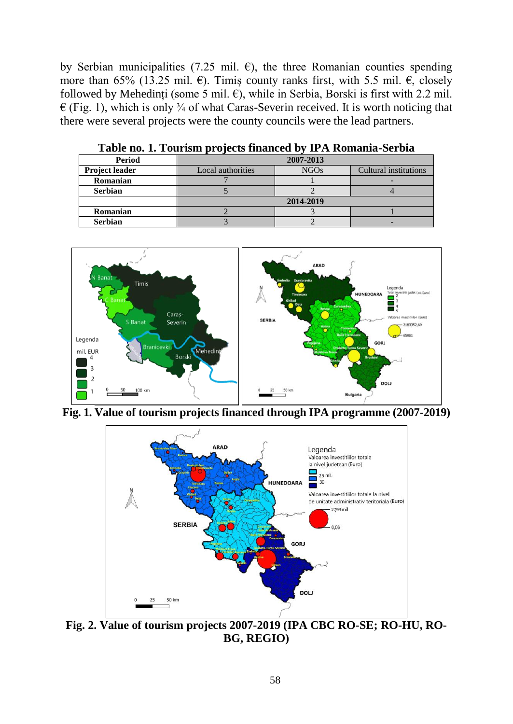by Serbian municipalities (7.25 mil.  $\epsilon$ ), the three Romanian counties spending more than 65% (13.25 mil.  $\epsilon$ ). Timiș county ranks first, with 5.5 mil.  $\epsilon$ , closely followed by Mehedinți (some 5 mil.  $\epsilon$ ), while in Serbia, Borski is first with 2.2 mil.  $\epsilon$  (Fig. 1), which is only  $\frac{3}{4}$  of what Caras-Severin received. It is worth noticing that there were several projects were the county councils were the lead partners.

| Period         | 2007-2013         |             |                       |
|----------------|-------------------|-------------|-----------------------|
| Project leader | Local authorities | <b>NGOs</b> | Cultural institutions |
| Romanian       |                   |             |                       |
| <b>Serbian</b> |                   |             |                       |
|                | 2014-2019         |             |                       |
| Romanian       |                   |             |                       |
| <b>Serbian</b> |                   |             |                       |

**Table no. 1. Tourism projects financed by IPA Romania-Serbia** 



**Fig. 1. Value of tourism projects financed through IPA programme (2007-2019)**



**Fig. 2. Value of tourism projects 2007-2019 (IPA CBC RO-SE; RO-HU, RO-BG, REGIO)**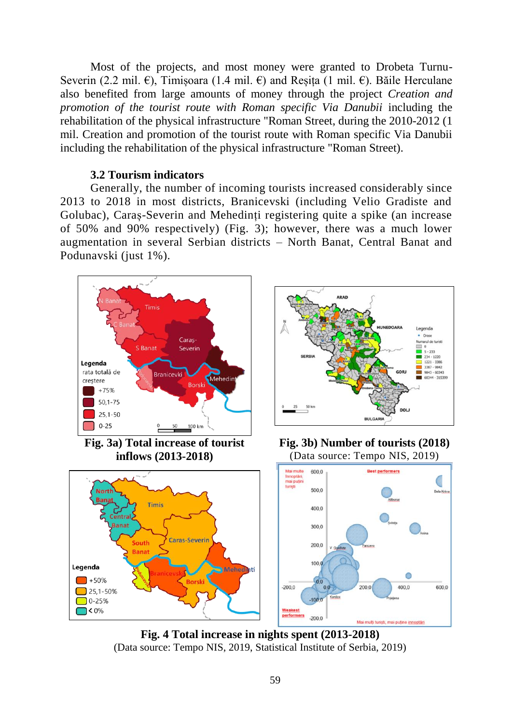Most of the projects, and most money were granted to Drobeta Turnu-Severin (2.2 mil.  $\epsilon$ ), Timișoara (1.4 mil.  $\epsilon$ ) and Reșita (1 mil.  $\epsilon$ ). Băile Herculane also benefited from large amounts of money through the project *Creation and promotion of the tourist route with Roman specific Via Danubii* including the rehabilitation of the physical infrastructure "Roman Street, during the 2010-2012 (1 mil. Creation and promotion of the tourist route with Roman specific Via Danubii including the rehabilitation of the physical infrastructure "Roman Street).

#### **3.2 Tourism indicators**

Generally, the number of incoming tourists increased considerably since 2013 to 2018 in most districts, Branicevski (including Velio Gradiste and Golubac), Caraș-Severin and Mehedinți registering quite a spike (an increase of 50% and 90% respectively) (Fig. 3); however, there was a much lower augmentation in several Serbian districts – North Banat, Central Banat and Podunavski (just 1%).



**Fig. 4 Total increase in nights spent (2013-2018)** (Data source: Tempo NIS, 2019, Statistical Institute of Serbia, 2019)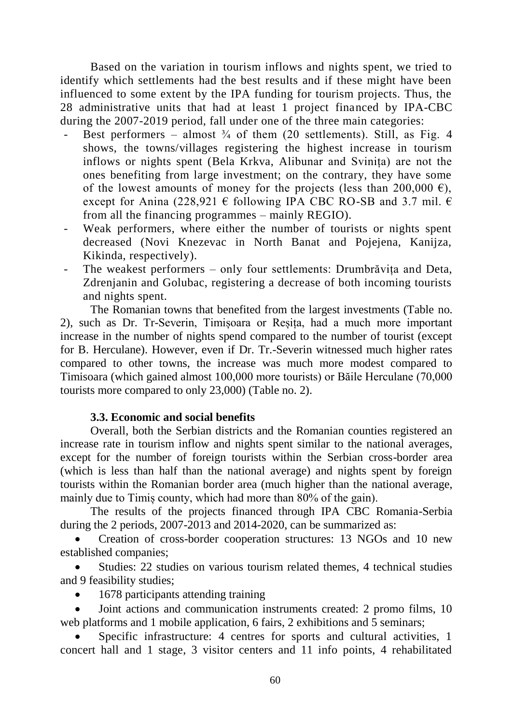Based on the variation in tourism inflows and nights spent, we tried to identify which settlements had the best results and if these might have been influenced to some extent by the IPA funding for tourism projects. Thus, the 28 administrative units that had at least 1 project financed by IPA-CBC during the 2007-2019 period, fall under one of the three main categories:

- Best performers almost  $\frac{3}{4}$  of them (20 settlements). Still, as Fig. 4 shows, the towns/villages registering the highest increase in tourism inflows or nights spent (Bela Krkva, Alibunar and Svinița) are not the ones benefiting from large investment; on the contrary, they have some of the lowest amounts of money for the projects (less than 200,000  $\epsilon$ ), except for Anina (228,921  $\epsilon$  following IPA CBC RO-SB and 3.7 mil.  $\epsilon$ from all the financing programmes – mainly REGIO).
- Weak performers, where either the number of tourists or nights spent decreased (Novi Knezevac in North Banat and Pojejena, Kanijza, Kikinda, respectively).
- The weakest performers only four settlements: Drumbrăvița and Deta, Zdrenjanin and Golubac, registering a decrease of both incoming tourists and nights spent.

The Romanian towns that benefited from the largest investments (Table no. 2), such as Dr. Tr-Severin, Timișoara or Reșița, had a much more important increase in the number of nights spend compared to the number of tourist (except for B. Herculane). However, even if Dr. Tr.-Severin witnessed much higher rates compared to other towns, the increase was much more modest compared to Timisoara (which gained almost 100,000 more tourists) or Băile Herculane (70,000 tourists more compared to only 23,000) (Table no. 2).

# **3.3. Economic and social benefits**

Overall, both the Serbian districts and the Romanian counties registered an increase rate in tourism inflow and nights spent similar to the national averages, except for the number of foreign tourists within the Serbian cross-border area (which is less than half than the national average) and nights spent by foreign tourists within the Romanian border area (much higher than the national average, mainly due to Timiș county, which had more than 80% of the gain).

The results of the projects financed through IPA CBC Romania-Serbia during the 2 periods, 2007-2013 and 2014-2020, can be summarized as:

 Creation of cross-border cooperation structures: 13 NGOs and 10 new established companies;

 Studies: 22 studies on various tourism related themes, 4 technical studies and 9 feasibility studies;

• 1678 participants attending training

 Joint actions and communication instruments created: 2 promo films, 10 web platforms and 1 mobile application, 6 fairs, 2 exhibitions and  $\overline{5}$  seminars;

 Specific infrastructure: 4 centres for sports and cultural activities, 1 concert hall and 1 stage, 3 visitor centers and 11 info points, 4 rehabilitated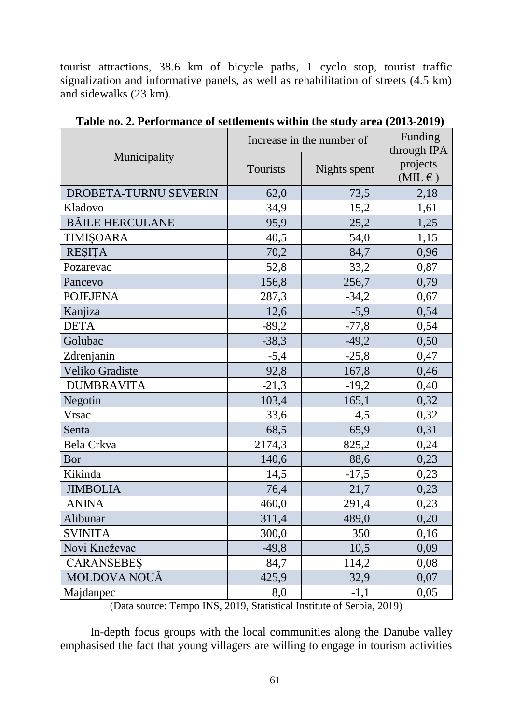tourist attractions, 38.6 km of bicycle paths, 1 cyclo stop, tourist traffic signalization and informative panels, as well as rehabilitation of streets (4.5 km) and sidewalks (23 km).

|                        | Increase in the number of | Funding<br>through IPA |                                 |
|------------------------|---------------------------|------------------------|---------------------------------|
| Municipality           | Tourists                  | Nights spent           | projects<br>$(MIL \varepsilon)$ |
| DROBETA-TURNU SEVERIN  | 62,0                      | 73,5                   | 2,18                            |
| Kladovo                | 34,9                      | 15,2                   | 1,61                            |
| <b>BĂILE HERCULANE</b> | 95,9                      | 25,2                   | 1,25                            |
| <b>TIMISOARA</b>       | 40,5                      | 54,0                   | 1,15                            |
| <b>RESITA</b>          | 70,2                      | 84,7                   | 0,96                            |
| Pozarevac              | 52,8                      | 33,2                   | 0,87                            |
| Pancevo                | 156,8                     | 256,7                  | 0,79                            |
| <b>POJEJENA</b>        | 287,3                     | $-34,2$                | 0,67                            |
| Kanjiza                | 12,6                      | $-5,9$                 | 0,54                            |
| <b>DETA</b>            | $-89,2$                   | $-77,8$                | 0,54                            |
| Golubac                | $-38,3$                   | $-49,2$                | 0,50                            |
| Zdrenjanin             | $-5,4$                    | $-25,8$                | 0,47                            |
| Veliko Gradiste        | 92,8                      | 167,8                  | 0,46                            |
| <b>DUMBRAVITA</b>      | $-21,3$                   | $-19,2$                | 0,40                            |
| Negotin                | 103,4                     | 165,1                  | 0,32                            |
| Vrsac                  | 33,6                      | 4,5                    | 0,32                            |
| Senta                  | 68,5                      | 65,9                   | 0,31                            |
| Bela Crkva             | 2174,3                    | 825,2                  | 0,24                            |
| Bor                    | 140,6                     | 88,6                   | 0,23                            |
| Kikinda                | 14,5                      | $-17,5$                | 0,23                            |
| <b>JIMBOLIA</b>        | 76,4                      | 21,7                   | 0,23                            |
| <b>ANINA</b>           | 460,0                     | 291,4                  | 0,23                            |
| Alibunar               | 311,4                     | 489,0                  | 0,20                            |
| <b>SVINITA</b>         | 300,0                     | 350                    | 0,16                            |
| Novi Kneževac          | $-49,8$                   | 10,5                   | 0,09                            |
| <b>CARANSEBES</b>      | 84,7                      | 114,2                  | 0,08                            |
| MOLDOVA NOUĂ           | 425,9                     | 32,9                   | 0,07                            |
| Majdanpec              | 8,0                       | $-1,1$                 | 0,05                            |

**Table no. 2. Performance of settlements within the study area (2013-2019)**

(Data source: Tempo INS, 2019, Statistical Institute of Serbia, 2019)

In-depth focus groups with the local communities along the Danube valley emphasised the fact that young villagers are willing to engage in tourism activities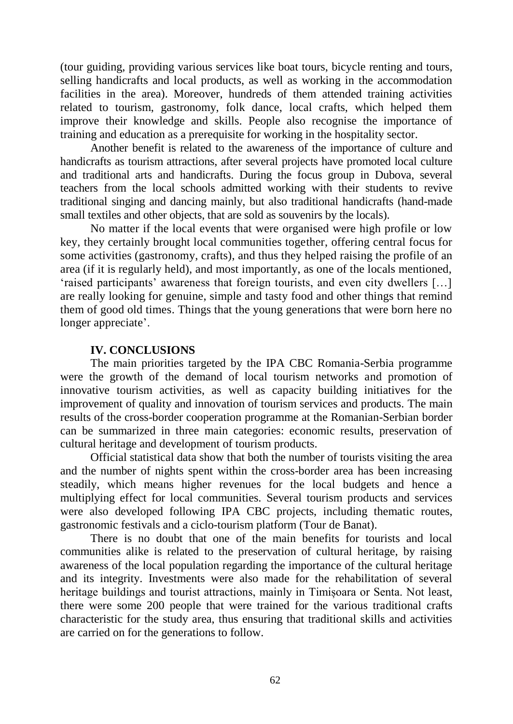(tour guiding, providing various services like boat tours, bicycle renting and tours, selling handicrafts and local products, as well as working in the accommodation facilities in the area). Moreover, hundreds of them attended training activities related to tourism, gastronomy, folk dance, local crafts, which helped them improve their knowledge and skills. People also recognise the importance of training and education as a prerequisite for working in the hospitality sector.

Another benefit is related to the awareness of the importance of culture and handicrafts as tourism attractions, after several projects have promoted local culture and traditional arts and handicrafts. During the focus group in Dubova, several teachers from the local schools admitted working with their students to revive traditional singing and dancing mainly, but also traditional handicrafts (hand-made small textiles and other objects, that are sold as souvenirs by the locals).

No matter if the local events that were organised were high profile or low key, they certainly brought local communities together, offering central focus for some activities (gastronomy, crafts), and thus they helped raising the profile of an area (if it is regularly held), and most importantly, as one of the locals mentioned, 'raised participants' awareness that foreign tourists, and even city dwellers […] are really looking for genuine, simple and tasty food and other things that remind them of good old times. Things that the young generations that were born here no longer appreciate'.

### **IV. CONCLUSIONS**

The main priorities targeted by the IPA CBC Romania-Serbia programme were the growth of the demand of local tourism networks and promotion of innovative tourism activities, as well as capacity building initiatives for the improvement of quality and innovation of tourism services and products. The main results of the cross-border cooperation programme at the Romanian-Serbian border can be summarized in three main categories: economic results, preservation of cultural heritage and development of tourism products.

Official statistical data show that both the number of tourists visiting the area and the number of nights spent within the cross-border area has been increasing steadily, which means higher revenues for the local budgets and hence a multiplying effect for local communities. Several tourism products and services were also developed following IPA CBC projects, including thematic routes, gastronomic festivals and a ciclo-tourism platform (Tour de Banat).

There is no doubt that one of the main benefits for tourists and local communities alike is related to the preservation of cultural heritage, by raising awareness of the local population regarding the importance of the cultural heritage and its integrity. Investments were also made for the rehabilitation of several heritage buildings and tourist attractions, mainly in Timișoara or Senta. Not least, there were some 200 people that were trained for the various traditional crafts characteristic for the study area, thus ensuring that traditional skills and activities are carried on for the generations to follow.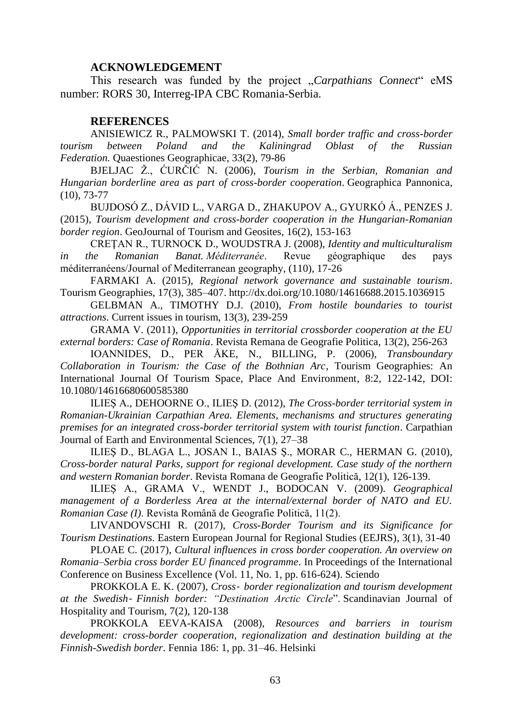#### **ACKNOWLEDGEMENT**

This research was funded by the project "*Carpathians Connect*" eMS number: RORS 30, Interreg-IPA CBC Romania-Serbia.

#### **REFERENCES**

ANISIEWICZ R., PALMOWSKI T. (2014), *Small border traffic and cross-border tourism between Poland and the Kaliningrad Oblast of the Russian Federation.* Quaestiones Geographicae, 33(2), 79-86

BJELJAC Ž., ĆURČIĆ N. (2006), *Tourism in the Serbian, Romanian and Hungarian borderline area as part of cross-border cooperation*. Geographica Pannonica, (10), 73-77

BUJDOSÓ Z., DÁVID L., VARGA D., ZHAKUPOV A., GYURKÓ Á., PENZES J. (2015), *Tourism development and cross-border cooperation in the Hungarian-Romanian border region*. GeoJournal of Tourism and Geosites, 16(2), 153-163

CREŢAN R., TURNOCK D., WOUDSTRA J. (2008), *Identity and multiculturalism in the Romanian Banat. Méditerranée*. Revue géographique des pays méditerranéens/Journal of Mediterranean geography, (110), 17-26

FARMAKI A. (2015), *Regional network governance and sustainable tourism*. Tourism Geographies, 17(3), 385–407. http://dx.doi.org/10.1080/14616688.2015.1036915

GELBMAN A., TIMOTHY D.J. (2010), *From hostile boundaries to tourist attractions*. Current issues in tourism, 13(3), 239-259

GRAMA V. (2011), *Opportunities in territorial crossborder cooperation at the EU external borders: Case of Romania*. Revista Remana de Geografie Politica, 13(2), 256-263

IOANNIDES, D., PER ÅKE, N., BILLING, P. (2006), *Transboundary Collaboration in Tourism: the Case of the Bothnian Arc*, Tourism Geographies: An International Journal Of Tourism Space, Place And Environment, 8:2, 122-142, DOI: 10.1080/14616680600585380

ILIEŞ A., DEHOORNE O., ILIEŞ D. (2012), *The Cross-border territorial system in Romanian-Ukrainian Carpathian Area. Elements, mechanisms and structures generating premises for an integrated cross-border territorial system with tourist function*. Carpathian Journal of Earth and Environmental Sciences, 7(1), 27–38

ILIEŞ D., BLAGA L., JOSAN I., BAIAS Ş., MORAR C., HERMAN G. (2010), *Cross-border natural Parks, support for regional development. Case study of the northern and western Romanian border*. Revista Romana de Geografie Politică, 12(1), 126-139.

ILIEŞ A., GRAMA V., WENDT J., BODOCAN V. (2009). *Geographical management of a Borderless Area at the internal/external border of NATO and EU. Romanian Case (I)*. Revista Română de Geografie Politică, 11(2).

LIVANDOVSCHI R. (2017), *Cross-Border Tourism and its Significance for Tourism Destinations*. Eastern European Journal for Regional Studies (EEJRS), 3(1), 31-40

PLOAE C. (2017), *Cultural influences in cross border cooperation. An overview on Romania–Serbia cross border EU financed programme*. In Proceedings of the International Conference on Business Excellence (Vol. 11, No. 1, pp. 616-624). Sciendo

PROKKOLA E. K. (2007), *Cross border regionalization and tourism development at the Swedish Finnish border: "Destination Arctic Circle*". Scandinavian Journal of Hospitality and Tourism, 7(2), 120-138

PROKKOLA EEVA-KAISA (2008), *Resources and barriers in tourism development: cross-border cooperation, regionalization and destination building at the Finnish-Swedish border*. Fennia 186: 1, pp. 31–46. Helsinki